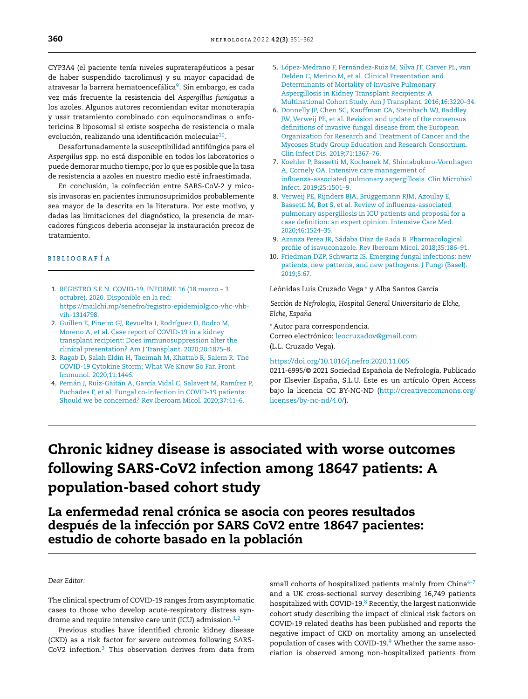CYP3A4 (el paciente tenía niveles supraterapéuticos a pesar de haber [suspendido](dx.doi.org/10.1186/gb-2005-6-2-209) tacrolimus) y su mayor capacidad de atravesar la barrera hematoencefálica<sup>9</sup>. Sin embargo, es cada vez más frecuente la resistencia del *Aspergillus fumigatus* a los azoles. Algunos autores recomiendan evitar monoterapia y usar tratamiento combinado con equinocandinas o anfotericina B liposomal si existe sospecha de resistencia o mala evolución, realizando una identificación molecular $^{\rm 10}.$ 

Desafortunadamente la susceptibilidad antifúngica para el *Aspergillus* spp. no está disponible en todos los laboratorios o puede demorar mucho tiempo, por lo que es posible que la tasa de resistencia a azoles en nuestro medio esté infraestimada.

En conclusión, la coinfección entre SARS-CoV-2 y micosis invasoras en pacientes inmunosuprimidos probablemente sea mayor de la descrita en la literatura. Por este motivo, y dadas las limitaciones del diagnóstico, la presencia de marcadores fúngicos debería aconsejar la instauración precoz de tratamiento.

### b i b l i o g r a f í a

- 1. [REGISTRO](http://refhub.elsevier.com/S0211-6995(21)00059-X/sbref0055) [S.E.N.](http://refhub.elsevier.com/S0211-6995(21)00059-X/sbref0055) [COVID-19.](http://refhub.elsevier.com/S0211-6995(21)00059-X/sbref0055) [INFORME](http://refhub.elsevier.com/S0211-6995(21)00059-X/sbref0055) [16](http://refhub.elsevier.com/S0211-6995(21)00059-X/sbref0055) [\(18](http://refhub.elsevier.com/S0211-6995(21)00059-X/sbref0055) [marzo](http://refhub.elsevier.com/S0211-6995(21)00059-X/sbref0055) [–](http://refhub.elsevier.com/S0211-6995(21)00059-X/sbref0055) [3](http://refhub.elsevier.com/S0211-6995(21)00059-X/sbref0055) [octubre\).](http://refhub.elsevier.com/S0211-6995(21)00059-X/sbref0055) [2020.](http://refhub.elsevier.com/S0211-6995(21)00059-X/sbref0055) [Disponible](http://refhub.elsevier.com/S0211-6995(21)00059-X/sbref0055) [en](http://refhub.elsevier.com/S0211-6995(21)00059-X/sbref0055) [la](http://refhub.elsevier.com/S0211-6995(21)00059-X/sbref0055) [red:](http://refhub.elsevier.com/S0211-6995(21)00059-X/sbref0055) [https://mailchi.mp/senefro/registro-epidemiolgico-vhc-vhb](http://refhub.elsevier.com/S0211-6995(21)00059-X/sbref0055)[vih-1314798.](http://refhub.elsevier.com/S0211-6995(21)00059-X/sbref0055)
- 2. [Guillen](http://refhub.elsevier.com/S0211-6995(21)00059-X/sbref0060) [E,](http://refhub.elsevier.com/S0211-6995(21)00059-X/sbref0060) [Pineiro](http://refhub.elsevier.com/S0211-6995(21)00059-X/sbref0060) [GJ,](http://refhub.elsevier.com/S0211-6995(21)00059-X/sbref0060) [Revuelta](http://refhub.elsevier.com/S0211-6995(21)00059-X/sbref0060) [I,](http://refhub.elsevier.com/S0211-6995(21)00059-X/sbref0060) [Rodríguez](http://refhub.elsevier.com/S0211-6995(21)00059-X/sbref0060) [D,](http://refhub.elsevier.com/S0211-6995(21)00059-X/sbref0060) [Bodro](http://refhub.elsevier.com/S0211-6995(21)00059-X/sbref0060) [M,](http://refhub.elsevier.com/S0211-6995(21)00059-X/sbref0060) [Moreno](http://refhub.elsevier.com/S0211-6995(21)00059-X/sbref0060) [A,](http://refhub.elsevier.com/S0211-6995(21)00059-X/sbref0060) [et](http://refhub.elsevier.com/S0211-6995(21)00059-X/sbref0060) [al.](http://refhub.elsevier.com/S0211-6995(21)00059-X/sbref0060) [Case](http://refhub.elsevier.com/S0211-6995(21)00059-X/sbref0060) [report](http://refhub.elsevier.com/S0211-6995(21)00059-X/sbref0060) [of](http://refhub.elsevier.com/S0211-6995(21)00059-X/sbref0060) [COVID-19](http://refhub.elsevier.com/S0211-6995(21)00059-X/sbref0060) [in](http://refhub.elsevier.com/S0211-6995(21)00059-X/sbref0060) [a](http://refhub.elsevier.com/S0211-6995(21)00059-X/sbref0060) [kidney](http://refhub.elsevier.com/S0211-6995(21)00059-X/sbref0060) [transplant](http://refhub.elsevier.com/S0211-6995(21)00059-X/sbref0060) [recipient:](http://refhub.elsevier.com/S0211-6995(21)00059-X/sbref0060) [Does](http://refhub.elsevier.com/S0211-6995(21)00059-X/sbref0060) [immunosuppression](http://refhub.elsevier.com/S0211-6995(21)00059-X/sbref0060) [alter](http://refhub.elsevier.com/S0211-6995(21)00059-X/sbref0060) [the](http://refhub.elsevier.com/S0211-6995(21)00059-X/sbref0060) [clinical](http://refhub.elsevier.com/S0211-6995(21)00059-X/sbref0060) [presentation?](http://refhub.elsevier.com/S0211-6995(21)00059-X/sbref0060) [Am](http://refhub.elsevier.com/S0211-6995(21)00059-X/sbref0060) [J](http://refhub.elsevier.com/S0211-6995(21)00059-X/sbref0060) [Transplant.](http://refhub.elsevier.com/S0211-6995(21)00059-X/sbref0060) [2020;20:1875–8.](http://refhub.elsevier.com/S0211-6995(21)00059-X/sbref0060)
- 3. [Ragab](http://refhub.elsevier.com/S0211-6995(21)00059-X/sbref0065) [D,](http://refhub.elsevier.com/S0211-6995(21)00059-X/sbref0065) [Salah](http://refhub.elsevier.com/S0211-6995(21)00059-X/sbref0065) [Eldin](http://refhub.elsevier.com/S0211-6995(21)00059-X/sbref0065) [H,](http://refhub.elsevier.com/S0211-6995(21)00059-X/sbref0065) [Taeimah](http://refhub.elsevier.com/S0211-6995(21)00059-X/sbref0065) [M,](http://refhub.elsevier.com/S0211-6995(21)00059-X/sbref0065) [Khattab](http://refhub.elsevier.com/S0211-6995(21)00059-X/sbref0065) [R,](http://refhub.elsevier.com/S0211-6995(21)00059-X/sbref0065) [Salem](http://refhub.elsevier.com/S0211-6995(21)00059-X/sbref0065) [R.](http://refhub.elsevier.com/S0211-6995(21)00059-X/sbref0065) [The](http://refhub.elsevier.com/S0211-6995(21)00059-X/sbref0065) [COVID-19](http://refhub.elsevier.com/S0211-6995(21)00059-X/sbref0065) [Cytokine](http://refhub.elsevier.com/S0211-6995(21)00059-X/sbref0065) [Storm;](http://refhub.elsevier.com/S0211-6995(21)00059-X/sbref0065) [What](http://refhub.elsevier.com/S0211-6995(21)00059-X/sbref0065) [We](http://refhub.elsevier.com/S0211-6995(21)00059-X/sbref0065) [Know](http://refhub.elsevier.com/S0211-6995(21)00059-X/sbref0065) [So](http://refhub.elsevier.com/S0211-6995(21)00059-X/sbref0065) [Far.](http://refhub.elsevier.com/S0211-6995(21)00059-X/sbref0065) [Front](http://refhub.elsevier.com/S0211-6995(21)00059-X/sbref0065) [Immunol.](http://refhub.elsevier.com/S0211-6995(21)00059-X/sbref0065) [2020;11:1446.](http://refhub.elsevier.com/S0211-6995(21)00059-X/sbref0065)
- 4. [Pemán](http://refhub.elsevier.com/S0211-6995(21)00059-X/sbref0070) [J,](http://refhub.elsevier.com/S0211-6995(21)00059-X/sbref0070) [Ruiz-Gaitán](http://refhub.elsevier.com/S0211-6995(21)00059-X/sbref0070) [A,](http://refhub.elsevier.com/S0211-6995(21)00059-X/sbref0070) [García](http://refhub.elsevier.com/S0211-6995(21)00059-X/sbref0070) [Vidal](http://refhub.elsevier.com/S0211-6995(21)00059-X/sbref0070) [C,](http://refhub.elsevier.com/S0211-6995(21)00059-X/sbref0070) [Salavert](http://refhub.elsevier.com/S0211-6995(21)00059-X/sbref0070) [M,](http://refhub.elsevier.com/S0211-6995(21)00059-X/sbref0070) [Ramírez](http://refhub.elsevier.com/S0211-6995(21)00059-X/sbref0070) [P,](http://refhub.elsevier.com/S0211-6995(21)00059-X/sbref0070) [Puchades](http://refhub.elsevier.com/S0211-6995(21)00059-X/sbref0070) [F,](http://refhub.elsevier.com/S0211-6995(21)00059-X/sbref0070) [et](http://refhub.elsevier.com/S0211-6995(21)00059-X/sbref0070) [al.](http://refhub.elsevier.com/S0211-6995(21)00059-X/sbref0070) [Fungal](http://refhub.elsevier.com/S0211-6995(21)00059-X/sbref0070) [co-infection](http://refhub.elsevier.com/S0211-6995(21)00059-X/sbref0070) [in](http://refhub.elsevier.com/S0211-6995(21)00059-X/sbref0070) [COVID-19](http://refhub.elsevier.com/S0211-6995(21)00059-X/sbref0070) [patients:](http://refhub.elsevier.com/S0211-6995(21)00059-X/sbref0070) [Should](http://refhub.elsevier.com/S0211-6995(21)00059-X/sbref0070) [we](http://refhub.elsevier.com/S0211-6995(21)00059-X/sbref0070) [be](http://refhub.elsevier.com/S0211-6995(21)00059-X/sbref0070) [concerned?](http://refhub.elsevier.com/S0211-6995(21)00059-X/sbref0070) [Rev](http://refhub.elsevier.com/S0211-6995(21)00059-X/sbref0070) [Iberoam](http://refhub.elsevier.com/S0211-6995(21)00059-X/sbref0070) [Micol.](http://refhub.elsevier.com/S0211-6995(21)00059-X/sbref0070) [2020;37:41](http://refhub.elsevier.com/S0211-6995(21)00059-X/sbref0070)–[6.](http://refhub.elsevier.com/S0211-6995(21)00059-X/sbref0070)
- 5. [López-Medrano](http://refhub.elsevier.com/S0211-6995(21)00059-X/sbref0075) [F,](http://refhub.elsevier.com/S0211-6995(21)00059-X/sbref0075) [Fernández-Ruiz](http://refhub.elsevier.com/S0211-6995(21)00059-X/sbref0075) [M,](http://refhub.elsevier.com/S0211-6995(21)00059-X/sbref0075) [Silva](http://refhub.elsevier.com/S0211-6995(21)00059-X/sbref0075) [JT,](http://refhub.elsevier.com/S0211-6995(21)00059-X/sbref0075) [Carver](http://refhub.elsevier.com/S0211-6995(21)00059-X/sbref0075) [PL,](http://refhub.elsevier.com/S0211-6995(21)00059-X/sbref0075) [van](http://refhub.elsevier.com/S0211-6995(21)00059-X/sbref0075) [Delden](http://refhub.elsevier.com/S0211-6995(21)00059-X/sbref0075) [C,](http://refhub.elsevier.com/S0211-6995(21)00059-X/sbref0075) [Merino](http://refhub.elsevier.com/S0211-6995(21)00059-X/sbref0075) [M,](http://refhub.elsevier.com/S0211-6995(21)00059-X/sbref0075) [et](http://refhub.elsevier.com/S0211-6995(21)00059-X/sbref0075) [al.](http://refhub.elsevier.com/S0211-6995(21)00059-X/sbref0075) [Clinical](http://refhub.elsevier.com/S0211-6995(21)00059-X/sbref0075) [Presenta](mailto:nina.mendez@salud.gob.mx)[tion](http://refhub.elsevier.com/S0211-6995(21)00059-X/sbref0075) [and](http://refhub.elsevier.com/S0211-6995(21)00059-X/sbref0075) [Determinants](http://refhub.elsevier.com/S0211-6995(21)00059-X/sbref0075) [of](http://refhub.elsevier.com/S0211-6995(21)00059-X/sbref0075) [Mortality](http://refhub.elsevier.com/S0211-6995(21)00059-X/sbref0075) [of](http://refhub.elsevier.com/S0211-6995(21)00059-X/sbref0075) [Invasive](http://refhub.elsevier.com/S0211-6995(21)00059-X/sbref0075) [Pulmonary](http://refhub.elsevier.com/S0211-6995(21)00059-X/sbref0075) [Aspergillosis](http://refhub.elsevier.com/S0211-6995(21)00059-X/sbref0075) [in](http://refhub.elsevier.com/S0211-6995(21)00059-X/sbref0075) [Kidney](http://refhub.elsevier.com/S0211-6995(21)00059-X/sbref0075) [Transplant](http://refhub.elsevier.com/S0211-6995(21)00059-X/sbref0075) [Recipients:](http://refhub.elsevier.com/S0211-6995(21)00059-X/sbref0075) [A](http://refhub.elsevier.com/S0211-6995(21)00059-X/sbref0075) [Multinational](http://refhub.elsevier.com/S0211-6995(21)00059-X/sbref0075) [Cohort](http://refhub.elsevier.com/S0211-6995(21)00059-X/sbref0075) [Study.](http://refhub.elsevier.com/S0211-6995(21)00059-X/sbref0075) [Am](http://refhub.elsevier.com/S0211-6995(21)00059-X/sbref0075) [J](http://refhub.elsevier.com/S0211-6995(21)00059-X/sbref0075) [Transplant.](http://refhub.elsevier.com/S0211-6995(21)00059-X/sbref0075) [2016;16:3220–34.](http://refhub.elsevier.com/S0211-6995(21)00059-X/sbref0075)
- 6. [Donnelly](http://refhub.elsevier.com/S0211-6995(21)00059-X/sbref0080) [JP,](http://refhub.elsevier.com/S0211-6995(21)00059-X/sbref0080) [Chen](http://refhub.elsevier.com/S0211-6995(21)00059-X/sbref0080) [SC,](http://refhub.elsevier.com/S0211-6995(21)00059-X/sbref0080) [Kauffman](http://refhub.elsevier.com/S0211-6995(21)00059-X/sbref0080) [CA,](http://refhub.elsevier.com/S0211-6995(21)00059-X/sbref0080) [Steinbach](http://refhub.elsevier.com/S0211-6995(21)00059-X/sbref0080) [WJ,](http://refhub.elsevier.com/S0211-6995(21)00059-X/sbref0080) [Baddley](http://refhub.elsevier.com/S0211-6995(21)00059-X/sbref0080) [JW,](http://refhub.elsevier.com/S0211-6995(21)00059-X/sbref0080) [Verweij](http://refhub.elsevier.com/S0211-6995(21)00059-X/sbref0080) [PE,](http://refhub.elsevier.com/S0211-6995(21)00059-X/sbref0080) [et](http://refhub.elsevier.com/S0211-6995(21)00059-X/sbref0080) [al.](http://refhub.elsevier.com/S0211-6995(21)00059-X/sbref0080) [R](mailto:hellanohicaro@gmail.com)[evision](http://refhub.elsevier.com/S0211-6995(21)00059-X/sbref0080) [and](http://refhub.elsevier.com/S0211-6995(21)00059-X/sbref0080) [update](http://refhub.elsevier.com/S0211-6995(21)00059-X/sbref0080) [of](http://refhub.elsevier.com/S0211-6995(21)00059-X/sbref0080) [the](http://refhub.elsevier.com/S0211-6995(21)00059-X/sbref0080) [consensus](http://refhub.elsevier.com/S0211-6995(21)00059-X/sbref0080) [definitions](http://refhub.elsevier.com/S0211-6995(21)00059-X/sbref0080) [of](http://refhub.elsevier.com/S0211-6995(21)00059-X/sbref0080) [invasive](http://refhub.elsevier.com/S0211-6995(21)00059-X/sbref0080) [fungal](http://refhub.elsevier.com/S0211-6995(21)00059-X/sbref0080) [disease](http://refhub.elsevier.com/S0211-6995(21)00059-X/sbref0080) [from](http://refhub.elsevier.com/S0211-6995(21)00059-X/sbref0080) [the](http://refhub.elsevier.com/S0211-6995(21)00059-X/sbref0080) [European](http://refhub.elsevier.com/S0211-6995(21)00059-X/sbref0080) [Organization](http://refhub.elsevier.com/S0211-6995(21)00059-X/sbref0080) [for](http://refhub.elsevier.com/S0211-6995(21)00059-X/sbref0080) [R](http://refhub.elsevier.com/S0211-6995(21)00059-X/sbref0080)[esearch](mailto:fvalga@hotmail.com) [and](http://refhub.elsevier.com/S0211-6995(21)00059-X/sbref0080) [T](http://refhub.elsevier.com/S0211-6995(21)00059-X/sbref0080)[reatm](http://creativecommons.org/licenses/by-nc-nd/4.0/)[ent](http://refhub.elsevier.com/S0211-6995(21)00059-X/sbref0080) [of](http://refhub.elsevier.com/S0211-6995(21)00059-X/sbref0080) [Cancer](http://creativecommons.org/licenses/by-nc-nd/4.0/) [and](http://refhub.elsevier.com/S0211-6995(21)00059-X/sbref0080) [th](http://refhub.elsevier.com/S0211-6995(21)00059-X/sbref0080)[e](http://creativecommons.org/licenses/by-nc-nd/4.0/) [Mycose](http://refhub.elsevier.com/S0211-6995(21)00059-X/sbref0080)[s](http://creativecommons.org/licenses/by-nc-nd/4.0/) [Stu](http://refhub.elsevier.com/S0211-6995(21)00059-X/sbref0080)[dy](http://creativecommons.org/licenses/by-nc-nd/4.0/) [G](http://refhub.elsevier.com/S0211-6995(21)00059-X/sbref0080)[r](http://creativecommons.org/licenses/by-nc-nd/4.0/)[oup](http://refhub.elsevier.com/S0211-6995(21)00059-X/sbref0080) [Education](https://doi.org/10.1016/j.nefro.2020.11.008) [and](http://refhub.elsevier.com/S0211-6995(21)00059-X/sbref0080) [Research](http://refhub.elsevier.com/S0211-6995(21)00059-X/sbref0080) [Consortium.](http://refhub.elsevier.com/S0211-6995(21)00059-X/sbref0080) [Clin](http://refhub.elsevier.com/S0211-6995(21)00059-X/sbref0080) [Infect](http://refhub.elsevier.com/S0211-6995(21)00059-X/sbref0080) [Dis.](http://refhub.elsevier.com/S0211-6995(21)00059-X/sbref0080) [2019;71:1367](http://refhub.elsevier.com/S0211-6995(21)00059-X/sbref0080)[–](https://doi.org/10.1016/j.nefro.2021.02.002)[76.](http://refhub.elsevier.com/S0211-6995(21)00059-X/sbref0080)
- 7. [Koehler](http://refhub.elsevier.com/S0211-6995(21)00059-X/sbref0085) [P,](http://refhub.elsevier.com/S0211-6995(21)00059-X/sbref0085) [Bassetti](http://refhub.elsevier.com/S0211-6995(21)00059-X/sbref0085) [M,](http://refhub.elsevier.com/S0211-6995(21)00059-X/sbref0085) [Kochanek](http://refhub.elsevier.com/S0211-6995(21)00059-X/sbref0085) [M,](http://refhub.elsevier.com/S0211-6995(21)00059-X/sbref0085) [Shimabukuro-Vornhagen](http://refhub.elsevier.com/S0211-6995(21)00059-X/sbref0085) [A,](http://refhub.elsevier.com/S0211-6995(21)00059-X/sbref0085) [Cornely](http://refhub.elsevier.com/S0211-6995(21)00059-X/sbref0085) [OA.](http://refhub.elsevier.com/S0211-6995(21)00059-X/sbref0085) [Intensive](http://refhub.elsevier.com/S0211-6995(21)00059-X/sbref0085) [care](http://refhub.elsevier.com/S0211-6995(21)00059-X/sbref0085) [management](http://refhub.elsevier.com/S0211-6995(21)00059-X/sbref0085) [of](http://refhub.elsevier.com/S0211-6995(21)00059-X/sbref0085) [influenza-associated](http://refhub.elsevier.com/S0211-6995(21)00059-X/sbref0085) [pulmonary](http://refhub.elsevier.com/S0211-6995(21)00059-X/sbref0085) [aspergillosis](http://refhub.elsevier.com/S0211-6995(21)00059-X/sbref0085)[.](http://creativecommons.org/licenses/by-nc-nd/4.0/) [Clin](http://refhub.elsevier.com/S0211-6995(21)00059-X/sbref0085) [Microbiol](http://refhub.elsevier.com/S0211-6995(21)00059-X/sbref0085) [Infect.](http://refhub.elsevier.com/S0211-6995(21)00059-X/sbref0085) [2019;25:1501](http://refhub.elsevier.com/S0211-6995(21)00059-X/sbref0085)[–](http://creativecommons.org/licenses/by-nc-nd/4.0/)[9.](http://refhub.elsevier.com/S0211-6995(21)00059-X/sbref0085)
- 8. [Verweij](http://refhub.elsevier.com/S0211-6995(21)00059-X/sbref0090) [PE,](http://refhub.elsevier.com/S0211-6995(21)00059-X/sbref0090) [Rijnders](http://refhub.elsevier.com/S0211-6995(21)00059-X/sbref0090) [BJA,](http://refhub.elsevier.com/S0211-6995(21)00059-X/sbref0090) [Brüggemann](http://refhub.elsevier.com/S0211-6995(21)00059-X/sbref0090) [RJM,](http://refhub.elsevier.com/S0211-6995(21)00059-X/sbref0090) [Azoulay](http://refhub.elsevier.com/S0211-6995(21)00059-X/sbref0090) [E,](http://refhub.elsevier.com/S0211-6995(21)00059-X/sbref0090) [Bassetti](http://refhub.elsevier.com/S0211-6995(21)00059-X/sbref0090) [M,](http://refhub.elsevier.com/S0211-6995(21)00059-X/sbref0090) [Bot](http://refhub.elsevier.com/S0211-6995(21)00059-X/sbref0090) [S,](http://refhub.elsevier.com/S0211-6995(21)00059-X/sbref0090) [et](http://refhub.elsevier.com/S0211-6995(21)00059-X/sbref0090) [al.](http://refhub.elsevier.com/S0211-6995(21)00059-X/sbref0090) [Review](http://refhub.elsevier.com/S0211-6995(21)00059-X/sbref0090) [of](http://refhub.elsevier.com/S0211-6995(21)00059-X/sbref0090) [influenza-associated](http://refhub.elsevier.com/S0211-6995(21)00059-X/sbref0090) [pulmonary](http://refhub.elsevier.com/S0211-6995(21)00059-X/sbref0090) [aspergillosis](http://refhub.elsevier.com/S0211-6995(21)00059-X/sbref0090) [in](http://refhub.elsevier.com/S0211-6995(21)00059-X/sbref0090) [ICU](http://refhub.elsevier.com/S0211-6995(21)00059-X/sbref0090) [patients](http://refhub.elsevier.com/S0211-6995(21)00059-X/sbref0090) [and](http://refhub.elsevier.com/S0211-6995(21)00059-X/sbref0090) [proposal](http://refhub.elsevier.com/S0211-6995(21)00059-X/sbref0090) [for](http://refhub.elsevier.com/S0211-6995(21)00059-X/sbref0090) [a](http://refhub.elsevier.com/S0211-6995(21)00059-X/sbref0090) [case](http://refhub.elsevier.com/S0211-6995(21)00059-X/sbref0090) [definition:](http://refhub.elsevier.com/S0211-6995(21)00059-X/sbref0090) [an](http://refhub.elsevier.com/S0211-6995(21)00059-X/sbref0090) [expert](http://refhub.elsevier.com/S0211-6995(21)00059-X/sbref0090) [opinion.](http://refhub.elsevier.com/S0211-6995(21)00059-X/sbref0090) [Intensive](http://refhub.elsevier.com/S0211-6995(21)00059-X/sbref0090) [Care](http://refhub.elsevier.com/S0211-6995(21)00059-X/sbref0090) [Med.](http://refhub.elsevier.com/S0211-6995(21)00059-X/sbref0090) [2020;46:1524](http://refhub.elsevier.com/S0211-6995(21)00059-X/sbref0090)–[35.](http://refhub.elsevier.com/S0211-6995(21)00059-X/sbref0090)
- 9. [Azanza](http://refhub.elsevier.com/S0211-6995(21)00059-X/sbref0095) [Perea](http://refhub.elsevier.com/S0211-6995(21)00059-X/sbref0095) [JR,](http://refhub.elsevier.com/S0211-6995(21)00059-X/sbref0095) [Sádaba](http://refhub.elsevier.com/S0211-6995(21)00059-X/sbref0095) [Díaz](http://refhub.elsevier.com/S0211-6995(21)00059-X/sbref0095) [de](http://refhub.elsevier.com/S0211-6995(21)00059-X/sbref0095) [Rada](http://refhub.elsevier.com/S0211-6995(21)00059-X/sbref0095) [B.](http://refhub.elsevier.com/S0211-6995(21)00059-X/sbref0095) [Pharmacological](http://refhub.elsevier.com/S0211-6995(21)00059-X/sbref0095) [profile](http://refhub.elsevier.com/S0211-6995(21)00059-X/sbref0095) [of](http://refhub.elsevier.com/S0211-6995(21)00059-X/sbref0095) [isavuconazole.](http://refhub.elsevier.com/S0211-6995(21)00059-X/sbref0095) [Rev](http://refhub.elsevier.com/S0211-6995(21)00059-X/sbref0095) [Iberoam](http://refhub.elsevier.com/S0211-6995(21)00059-X/sbref0095) [Micol.](http://refhub.elsevier.com/S0211-6995(21)00059-X/sbref0095) [2018;35:186](http://refhub.elsevier.com/S0211-6995(21)00059-X/sbref0095)–[91.](http://refhub.elsevier.com/S0211-6995(21)00059-X/sbref0095)
- 10. [Friedman](http://refhub.elsevier.com/S0211-6995(21)00059-X/sbref0100) [DZP,](http://refhub.elsevier.com/S0211-6995(21)00059-X/sbref0100) [Schwartz](http://refhub.elsevier.com/S0211-6995(21)00059-X/sbref0100) [IS.](http://refhub.elsevier.com/S0211-6995(21)00059-X/sbref0100) [Emerging](http://refhub.elsevier.com/S0211-6995(21)00059-X/sbref0100) [fungal](http://refhub.elsevier.com/S0211-6995(21)00059-X/sbref0100) [infections:](http://refhub.elsevier.com/S0211-6995(21)00059-X/sbref0100) [new](http://refhub.elsevier.com/S0211-6995(21)00059-X/sbref0100) [patients,](http://refhub.elsevier.com/S0211-6995(21)00059-X/sbref0100) [new](http://refhub.elsevier.com/S0211-6995(21)00059-X/sbref0100) [patterns,](http://refhub.elsevier.com/S0211-6995(21)00059-X/sbref0100) [and](http://refhub.elsevier.com/S0211-6995(21)00059-X/sbref0100) [new](http://refhub.elsevier.com/S0211-6995(21)00059-X/sbref0100) [pathogens.](http://refhub.elsevier.com/S0211-6995(21)00059-X/sbref0100) [J](http://refhub.elsevier.com/S0211-6995(21)00059-X/sbref0100) [Fungi](http://refhub.elsevier.com/S0211-6995(21)00059-X/sbref0100) [\(Basel\).](http://refhub.elsevier.com/S0211-6995(21)00059-X/sbref0100) [2019;5:67.](http://refhub.elsevier.com/S0211-6995(21)00059-X/sbref0100)

Leónidas Luis Cruzado Vega<sup>∗</sup> y Alba Santos García

*Sección de Nefrología, Hospital General Universitario de Elche, Elche, Espana˜*

<sup>∗</sup> Autor para correspondencia.

Corr[eo](http://refhub.elsevier.com/S0211-6995(21)00059-X/sbref0060) [ele](http://refhub.elsevier.com/S0211-6995(21)00059-X/sbref0060)ctrónico: [leocruzadov@gmail.com](mailto:leocruzadov@gmail.com) (L.L. [Cruzado](http://refhub.elsevier.com/S0211-6995(21)00059-X/sbref0060) Ve[ga\).](http://refhub.elsevier.com/S0211-6995(21)00059-X/sbref0060)

#### <https://doi.org/10.1016/j.nefro.2020.11.005>

02[1](http://refhub.elsevier.com/S0211-6995(21)00059-X/sbref0055)1[-69](http://refhub.elsevier.com/S0211-6995(21)00059-X/sbref0065)[95/©](http://refhub.elsevier.com/S0211-6995(21)00059-X/sbref0055) [2021](http://refhub.elsevier.com/S0211-6995(21)00059-X/sbref0065) [So](http://refhub.elsevier.com/S0211-6995(21)00059-X/sbref0065)[ciedad](http://refhub.elsevier.com/S0211-6995(21)00059-X/sbref0055) Española [d](http://refhub.elsevier.com/S0211-6995(21)00059-X/sbref0055)e [N](http://refhub.elsevier.com/S0211-6995(21)00059-X/sbref0065)[e](http://refhub.elsevier.com/S0211-6995(21)00059-X/sbref0055)frología. [Pub](http://refhub.elsevier.com/S0211-6995(21)00059-X/sbref0055)[l](http://refhub.elsevier.com/S0211-6995(21)00059-X/sbref0065)[icado](http://refhub.elsevier.com/S0211-6995(21)00059-X/sbref0055) por [E](http://refhub.elsevier.com/S0211-6995(21)00059-X/sbref0055)[l](http://refhub.elsevier.com/S0211-6995(21)00059-X/sbref0065)[s](http://refhub.elsevier.com/S0211-6995(21)00059-X/sbref0055)[evi](http://refhub.elsevier.com/S0211-6995(21)00059-X/sbref0065)[e](http://refhub.elsevier.com/S0211-6995(21)00059-X/sbref0055)[r](http://refhub.elsevier.com/S0211-6995(21)00059-X/sbref0065) España, [S.L.U.](http://refhub.elsevier.com/S0211-6995(21)00059-X/sbref0055) E[ste](http://refhub.elsevier.com/S0211-6995(21)00059-X/sbref0065) [es](http://refhub.elsevier.com/S0211-6995(21)00059-X/sbref0065) [u](http://refhub.elsevier.com/S0211-6995(21)00059-X/sbref0065)[n](http://refhub.elsevier.com/S0211-6995(21)00059-X/sbref0055) artículo [Op](http://refhub.elsevier.com/S0211-6995(21)00059-X/sbref0065)[en](http://refhub.elsevier.com/S0211-6995(21)00059-X/sbref0055) [Acces](http://refhub.elsevier.com/S0211-6995(21)00059-X/sbref0065)s baj[o](http://refhub.elsevier.com/S0211-6995(21)00059-X/sbref0055) [la](http://refhub.elsevier.com/S0211-6995(21)00059-X/sbref0065) [licenc](http://refhub.elsevier.com/S0211-6995(21)00059-X/sbref0055)[ia](http://refhub.elsevier.com/S0211-6995(21)00059-X/sbref0065) [C](http://refhub.elsevier.com/S0211-6995(21)00059-X/sbref0055)[C](http://refhub.elsevier.com/S0211-6995(21)00059-X/sbref0065) [BY-](http://refhub.elsevier.com/S0211-6995(21)00059-X/sbref0055)[N](http://refhub.elsevier.com/S0211-6995(21)00059-X/sbref0065)[C-N](http://refhub.elsevier.com/S0211-6995(21)00059-X/sbref0055)[D](http://refhub.elsevier.com/S0211-6995(21)00059-X/sbref0065) [\(](http://refhub.elsevier.com/S0211-6995(21)00059-X/sbref0055)[h](http://creativecommons.org/licenses/by-nc-nd/4.0/)[t](http://refhub.elsevier.com/S0211-6995(21)00059-X/sbref0055)[tp](http://refhub.elsevier.com/S0211-6995(21)00059-X/sbref0065)[://cre](http://refhub.elsevier.com/S0211-6995(21)00059-X/sbref0055)[at](http://creativecommons.org/licenses/by-nc-nd/4.0/)[ivecom](http://refhub.elsevier.com/S0211-6995(21)00059-X/sbref0055)[mons.org/](http://creativecommons.org/licenses/by-nc-nd/4.0/) [lice](http://creativecommons.org/licenses/by-nc-nd/4.0/)[nses/b](http://refhub.elsevier.com/S0211-6995(21)00059-X/sbref0060)[y](http://creativecommons.org/licenses/by-nc-nd/4.0/)[-](http://refhub.elsevier.com/S0211-6995(21)00059-X/sbref0060)[n](http://creativecommons.org/licenses/by-nc-nd/4.0/)[c-nd/](http://refhub.elsevier.com/S0211-6995(21)00059-X/sbref0060)[4](http://creativecommons.org/licenses/by-nc-nd/4.0/)[.0](http://refhub.elsevier.com/S0211-6995(21)00059-X/sbref0060)[/](http://creativecommons.org/licenses/by-nc-nd/4.0/)[\).](http://refhub.elsevier.com/S0211-6995(21)00059-X/sbref0060)

# Chronic kidney disease is associa[ted](http://refhub.elsevier.com/S0211-6995(21)00059-X/sbref0070) [wi](http://refhub.elsevier.com/S0211-6995(21)00059-X/sbref0070)[t](http://refhub.elsevier.com/S0211-6995(21)00059-X/sbref0065)[h](http://refhub.elsevier.com/S0211-6995(21)00059-X/sbref0070) [worse](http://refhub.elsevier.com/S0211-6995(21)00059-X/sbref0070) [outcomes](http://refhub.elsevier.com/S0211-6995(21)00059-X/sbref0070) following SARS-CoV2 infection a[mong](http://refhub.elsevier.com/S0211-6995(21)00059-X/sbref0070) [1864](http://refhub.elsevier.com/S0211-6995(21)00059-X/sbref0070)[7](http://refhub.elsevier.com/S0211-6995(21)00059-X/sbref0075) [patients](http://refhub.elsevier.com/S0211-6995(21)00059-X/sbref0070)[:](http://refhub.elsevier.com/S0211-6995(21)00059-X/sbref0075) [A](http://refhub.elsevier.com/S0211-6995(21)00059-X/sbref0070) population-based cohort study

La enfermedad renal crónica se asocia [con](http://refhub.elsevier.com/S0211-6995(21)00059-X/sbref0080) [peores](http://refhub.elsevier.com/S0211-6995(21)00059-X/sbref0080) [resultados](http://refhub.elsevier.com/S0211-6995(21)00059-X/sbref0080) después de la infección por SARS CoV2 [entre](http://refhub.elsevier.com/S0211-6995(21)00059-X/sbref0080) [18647](http://refhub.elsevier.com/S0211-6995(21)00059-X/sbref0080) [pacientes:](http://refhub.elsevier.com/S0211-6995(21)00059-X/sbref0080) estudio de cohorte basado en la pobla[ci](http://refhub.elsevier.com/S0211-6995(21)00059-X/sbref0080)[ón](dx.doi.org/10.1038/s41598-020-59794-7)

## *Dear Editor:*

The [clinica](http://refhub.elsevier.com/S0211-6995(21)00059-X/sbref0055)l [spect](http://refhub.elsevier.com/S0211-6995(21)00059-X/sbref0055)rum of [COV](http://refhub.elsevier.com/S0211-6995(21)00059-X/sbref0055)I[D-19](http://refhub.elsevier.com/S0211-6995(21)00059-X/sbref0055) [ranges](http://refhub.elsevier.com/S0211-6995(21)00059-X/sbref0055) f[rom](http://refhub.elsevier.com/S0211-6995(21)00059-X/sbref0055) [asymptom](http://refhub.elsevier.com/S0211-6995(21)00059-X/sbref0055)atic cases to [th](http://refhub.elsevier.com/S0211-6995(21)00059-X/sbref0055)ose [who](http://refhub.elsevier.com/S0211-6995(21)00059-X/sbref0055) [develop](http://refhub.elsevier.com/S0211-6995(21)00059-X/sbref0055) [acute-respiratory](http://refhub.elsevier.com/S0211-6995(21)00059-X/sbref0055) [d](http://refhub.elsevier.com/S0211-6995(21)00059-X/sbref0055)i[stress](http://refhub.elsevier.com/S0211-6995(21)00059-X/sbref0055) [sy](http://refhub.elsevier.com/S0211-6995(21)00059-X/sbref0055)ndrome [and](http://refhub.elsevier.com/S0211-6995(21)00059-X/sbref0055) [re](http://refhub.elsevier.com/S0211-6995(21)00059-X/sbref0055)qu[ire](http://refhub.elsevier.com/S0211-6995(21)00059-X/sbref0055) [intensive](http://refhub.elsevier.com/S0211-6995(21)00059-X/sbref0055) [care](http://refhub.elsevier.com/S0211-6995(21)00059-X/sbref0055) unit [\(ICU\)](http://refhub.elsevier.com/S0211-6995(21)00059-X/sbref0055) [admission.](http://refhub.elsevier.com/S0211-6995(21)00059-X/sbref0055) $1,2$ 

P[revious](http://refhub.elsevier.com/S0211-6995(21)00059-X/sbref0060) [st](http://refhub.elsevier.com/S0211-6995(21)00059-X/sbref0055)[udies](http://refhub.elsevier.com/S0211-6995(21)00059-X/sbref0060) have [identified](http://refhub.elsevier.com/S0211-6995(21)00059-X/sbref0060) chr[oni](http://refhub.elsevier.com/S0211-6995(21)00059-X/sbref0060)c [kidney](http://refhub.elsevier.com/S0211-6995(21)00059-X/sbref0060) [dis](http://refhub.elsevier.com/S0211-6995(21)00059-X/sbref0060)ease (CKD) [as](http://refhub.elsevier.com/S0211-6995(21)00059-X/sbref0060) a risk [factor](http://refhub.elsevier.com/S0211-6995(21)00059-X/sbref0060) [fo](http://refhub.elsevier.com/S0211-6995(21)00059-X/sbref0060)r [severe](http://refhub.elsevier.com/S0211-6995(21)00059-X/sbref0060) o[utcome](http://refhub.elsevier.com/S0211-6995(21)00059-X/sbref0060)s [following](http://refhub.elsevier.com/S0211-6995(21)00059-X/sbref0060) SARS- $CoV2$  [infection.](http://refhub.elsevier.com/S0211-6995(21)00059-X/sbref0060) $3$  [This](http://refhub.elsevier.com/S0211-6995(21)00059-X/sbref0060) [observati](http://refhub.elsevier.com/S0211-6995(21)00059-X/sbref0060)on [derives](http://refhub.elsevier.com/S0211-6995(21)00059-X/sbref0060) [from](http://refhub.elsevier.com/S0211-6995(21)00059-X/sbref0060) [data](http://refhub.elsevier.com/S0211-6995(21)00059-X/sbref0060) [fro](http://refhub.elsevier.com/S0211-6995(21)00059-X/sbref0060)m sm[all](http://refhub.elsevier.com/S0211-6995(21)00059-X/sbref0090) [cohorts](http://refhub.elsevier.com/S0211-6995(21)00059-X/sbref0090) of [hospitalized](http://refhub.elsevier.com/S0211-6995(21)00059-X/sbref0090) [patients](http://refhub.elsevier.com/S0211-6995(21)00059-X/sbref0090) [mainly](http://refhub.elsevier.com/S0211-6995(21)00059-X/sbref0090) from [China](http://refhub.elsevier.com/S0211-6995(21)00059-X/sbref0090) $4-7$ and a [UK](http://refhub.elsevier.com/S0211-6995(21)00059-X/sbref0095) [cross-sectional](dx.doi.org/10.1016/j.ekir.2018.06.004) s[urv](http://refhub.elsevier.com/S0211-6995(21)00059-X/sbref0095)e[y](http://refhub.elsevier.com/S0211-6995(21)00059-X/sbref0095) [describing](http://refhub.elsevier.com/S0211-6995(21)00059-X/sbref0095) 1[6,749](http://refhub.elsevier.com/S0211-6995(21)00059-X/sbref0095) patients ho[spitalized](http://refhub.elsevier.com/S0211-6995(21)00059-X/sbref0095) with [COVID-](http://refhub.elsevier.com/S0211-6995(21)00059-X/sbref0095)[1](dx.doi.org/10.1093/ckj/sfy007)[9.](http://refhub.elsevier.com/S0211-6995(21)00059-X/sbref0095)<sup>8</sup> [R](#page-2-0)[ecently,](http://refhub.elsevier.com/S0211-6995(21)00059-X/sbref0095) the lar[ge](http://refhub.elsevier.com/S0211-6995(21)00059-X/sbref0095)st [nationwid](http://refhub.elsevier.com/S0211-6995(21)00059-X/sbref0095)e co[hor](http://refhub.elsevier.com/S0211-6995(21)00059-X/sbref0095)t [stud](http://refhub.elsevier.com/S0211-6995(21)00059-X/sbref0095)y [describing](http://refhub.elsevier.com/S0211-6995(21)00059-X/sbref0095) [t](http://refhub.elsevier.com/S0211-6995(21)00059-X/sbref0095)he [impact](http://refhub.elsevier.com/S0211-6995(21)00059-X/sbref0095) of clinical risk factors on CO[VID-19](http://refhub.elsevier.com/S0211-6995(21)00059-X/sbref0100) [related](http://refhub.elsevier.com/S0211-6995(21)00059-X/sbref0100) [deaths](http://refhub.elsevier.com/S0211-6995(21)00059-X/sbref0100) [h](http://refhub.elsevier.com/S0211-6995(21)00059-X/sbref0100)as [been](http://refhub.elsevier.com/S0211-6995(21)00059-X/sbref0100) [p](dx.doi.org/10.1016/j.semnephrol.2009.10.001)[ublished](http://refhub.elsevier.com/S0211-6995(21)00059-X/sbref0100) [and](http://refhub.elsevier.com/S0211-6995(21)00059-X/sbref0100) rep[orts](http://refhub.elsevier.com/S0211-6995(21)00059-X/sbref0100) the ne[gative](http://refhub.elsevier.com/S0211-6995(21)00059-X/sbref0100) [impac](http://refhub.elsevier.com/S0211-6995(21)00059-X/sbref0100)t [of](http://refhub.elsevier.com/S0211-6995(21)00059-X/sbref0100) [CKD](http://refhub.elsevier.com/S0211-6995(21)00059-X/sbref0100) [on](http://refhub.elsevier.com/S0211-6995(21)00059-X/sbref0100) [mortality](dx.doi.org/10.1056/NEJMc1807324) [among](http://refhub.elsevier.com/S0211-6995(21)00059-X/sbref0100) [an](http://refhub.elsevier.com/S0211-6995(21)00059-X/sbref0100) [unselected](http://refhub.elsevier.com/S0211-6995(21)00059-X/sbref0100) po[pulation](http://refhub.elsevier.com/S0211-6995(21)00059-X/sbref0100) [of](http://refhub.elsevier.com/S0211-6995(21)00059-X/sbref0100) [cases](http://refhub.elsevier.com/S0211-6995(21)00059-X/sbref0100) [with](http://refhub.elsevier.com/S0211-6995(21)00059-X/sbref0100) [COVID-19.](http://refhub.elsevier.com/S0211-6995(21)00059-X/sbref0100)<sup>[9](#page-2-0)</sup> W[hether](http://refhub.elsevier.com/S0211-6995(21)00059-X/sbref0100) the [sam](http://refhub.elsevier.com/S0211-6995(21)00059-X/sbref0100)e [ass](http://refhub.elsevier.com/S0211-6995(21)00059-X/sbref0100)ociation is [observe](http://refhub.elsevier.com/S0211-6995(21)00059-X/sbref0100)d among non-hospitalized patients from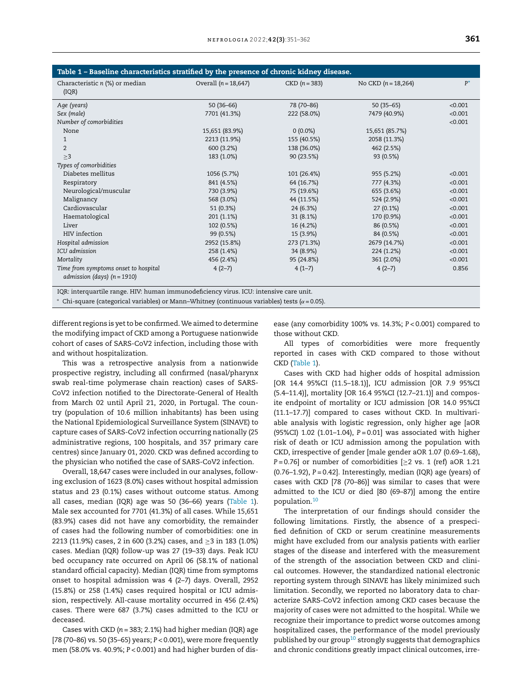| Table 1 - Baseline characteristics stratified by the presence of chronic kidney disease. |                        |                 |                       |         |
|------------------------------------------------------------------------------------------|------------------------|-----------------|-----------------------|---------|
| Characteristic n (%) or median<br>(IQR)                                                  | Overall $(n = 18,647)$ | $CKD (n = 383)$ | No CKD $(n = 18,264)$ | $P^*$   |
| Age (years)                                                                              | $50(36-66)$            | 78 (70-86)      | $50(35-65)$           | < 0.001 |
| Sex (male)                                                                               | 7701 (41.3%)           | 222 (58.0%)     | 7479 (40.9%)          | < 0.001 |
| Number of comorbidities                                                                  |                        |                 |                       | < 0.001 |
| None                                                                                     | 15,651 (83.9%)         | $0(0.0\%)$      | 15,651 (85.7%)        |         |
| $\mathbf{1}$                                                                             | 2213 (11.9%)           | 155 (40.5%)     | 2058 (11.3%)          |         |
| $\overline{2}$                                                                           | 600 (3.2%)             | 138 (36.0%)     | 462 (2.5%)            |         |
| >3                                                                                       | 183 (1.0%)             | 90 (23.5%)      | 93 (0.5%)             |         |
| Types of comorbidities                                                                   |                        |                 |                       |         |
| Diabetes mellitus                                                                        | 1056 (5.7%)            | 101 (26.4%)     | 955 (5.2%)            | < 0.001 |
| Respiratory                                                                              | 841 (4.5%)             | 64 (16.7%)      | 777 (4.3%)            | < 0.001 |
| Neurological/muscular                                                                    | 730 (3.9%)             | 75 (19.6%)      | 655 (3.6%)            | < 0.001 |
| Malignancy                                                                               | 568 (3.0%)             | 44 (11.5%)      | 524 (2.9%)            | < 0.001 |
| Cardiovascular                                                                           | 51 (0.3%)              | 24 (6.3%)       | $27(0.1\%)$           | < 0.001 |
| Haematological                                                                           | 201 (1.1%)             | 31(8.1%)        | 170 (0.9%)            | < 0.001 |
| Liver                                                                                    | 102 (0.5%)             | 16 (4.2%)       | 86 (0.5%)             | < 0.001 |
| HIV infection                                                                            | 99 (0.5%)              | 15 (3.9%)       | 84 (0.5%)             | < 0.001 |
| Hospital admission                                                                       | 2952 (15.8%)           | 273 (71.3%)     | 2679 (14.7%)          | < 0.001 |
| ICU admission                                                                            | 258 (1.4%)             | 34 (8.9%)       | 224 (1.2%)            | < 0.001 |
| Mortality                                                                                | 456 (2.4%)             | 95 (24.8%)      | 361 (2.0%)            | < 0.001 |
| Time from symptoms onset to hospital                                                     | $4(2-7)$               | $4(1-7)$        | $4(2-7)$              | 0.856   |
| admission (days) ( $n = 1910$ )                                                          |                        |                 |                       |         |
| IQR: interquartile range. HIV: human immunodeficiency virus. ICU: intensive care unit.   |                        |                 |                       |         |

 $*$  Chi-square (categorical variables) or Mann–Whitney (continuous variables) tests ( $\alpha$  = 0.05).

different regions is yet to be confirmed. We aimed to determine the modifying impact of CKD among a Portuguese nationwide cohort of cases of SARS-CoV2 infection, including those with and without hospitalization.

This was a retrospective analysis from a nationwide prospective registry, including all confirmed (nasal/pharynx swab real-time polymerase chain reaction) cases of SARS-CoV2 infection notified to the Directorate-General of Health from March 02 until April 21, 2020, in Portugal. The country (population of 10.6 million inhabitants) has been using the National Epidemiological Surveillance System (SINAVE) to capture cases of SARS-CoV2 infection occurring nationally (25 administrative regions, 100 hospitals, and 357 primary care centres) since January 01, 2020. CKD was defined according to the physician who notified the case of SARS-CoV2 infection.

Overall, 18,647 cases were included in our analyses, following exclusion of 1623 (8.0%) cases without hospital admission status and 23 (0.1%) cases without outcome status. Among all cases, median (IQR) age was 50 (36–66) years (Table 1). Male sex accounted for 7701 (41.3%) of all cases. While 15,651 (83.9%) cases did not have any comorbidity, the remainder of cases had the following number of comorbidities: one in 2213 (11.9%) cases, 2 in 600 (3.2%) cases, and ≥3 in 183 (1.0%) cases. Median (IQR) follow-up was 27 (19–33) days. Peak ICU bed occupancy rate occurred on April 06 (58.1% of national standard official capacity). Median (IQR) time from symptoms onset to hospital admission was 4 (2–7) days. Overall, 2952 (15.8%) or 258 (1.4%) cases required hospital or ICU admission, respectively. All-cause mortality occurred in 456 (2.4%) cases. There were 687 (3.7%) cases admitted to the ICU or deceased.

Cases with CKD (*n* = 383; 2.1%) had higher median (IQR) age [78 (70–86) vs. 50 (35–65) years; *P* < 0.001), were more frequently men (58.0% vs. 40.9%; *P* < 0.001) and had higher burden of disease (any comorbidity 100% vs. 14.3%; *P* < 0.001) compared to those without CKD.

All types of comorbidities were more frequently reported in cases with CKD compared to those without CKD (Table 1).

Cases with CKD had higher odds of hospital admission [OR 14.4 95%CI (11.5–18.1)], ICU admission [OR 7.9 95%CI (5.4–11.4)], mortality [OR 16.4 95%CI (12.7–21.1)] and composite endpoint of mortality or ICU admission [OR 14.0 95%CI (11.1–17.7)] compared to cases without CKD. In multivariable analysis with logistic regression, only higher age [aOR (95%CI) 1.02 (1.01–1.04), *P* = 0.01] was associated with higher risk of death or ICU admission among the population with CKD, irrespective of gender [male gender aOR 1.07 (0.69–1.68), *P* = 0.76] or number of comorbidities [≥2 vs. 1 (ref) aOR 1.21 (0.76–1.92), *P* = 0.42]. Interestingly, median (IQR) age (years) of cases with CKD [78 (70–86)] was similar to cases that were admitted to the ICU or died [80 (69–87)] among the entire population.[10](#page-2-0)

The interpretation of our findings should consider the following limitations. Firstly, the absence of a prespecified definition of CKD or serum creatinine measurements might have excluded from our analysis patients with earlier stages of the disease and interfered with the measurement of the strength of the association between CKD and clinical outcomes. However, the standardized national electronic reporting system through SINAVE has likely minimized such limitation. Secondly, we reported no laboratory data to characterize SARS-CoV2 infection among CKD cases because the majority of cases were not admitted to the hospital. While we recognize their importance to predict worse outcomes among hospitalized cases, the performance of the model previously published by our group<sup>[10](#page-2-0)</sup> strongly suggests that demographics and chronic conditions greatly impact clinical outcomes, irre